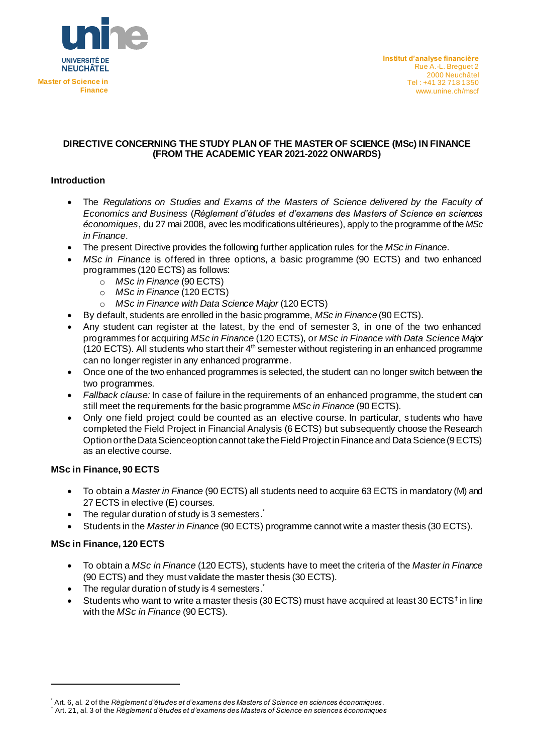

### **DIRECTIVE CONCERNING THE STUDY PLAN OF THE MASTER OF SCIENCE (MSc) IN FINANCE (FROM THE ACADEMIC YEAR 2021-2022 ONWARDS)**

## **Introduction**

- The *Regulations on Studies and Exams of the Masters of Science delivered by the Faculty of Economics and Business* (*Règlement d'études et d'examens des Masters of Science en sciences économiques*, du 27 mai 2008, avec les modifications ultérieures), apply to the programme of the *MSc in Finance*.
- The present Directive provides the following further application rules for the *MSc in Finance*.
- *MSc in Finance* is offered in three options, a basic programme (90 ECTS) and two enhanced programmes (120 ECTS) as follows:
	- o *MSc in Finance* (90 ECTS)
	- o *MSc in Finance* (120 ECTS)
	- o *MSc in Finance with Data Science Major* (120 ECTS)
- By default, students are enrolled in the basic programme, *MSc in Finance* (90 ECTS).
- Any student can register at the latest, by the end of semester 3, in one of the two enhanced programmes for acquiring *MSc in Finance* (120 ECTS), or *MSc in Finance with Data Science Major*  (120 ECTS). All students who start their  $4<sup>th</sup>$  semester without registering in an enhanced programme can no longer register in any enhanced programme.
- Once one of the two enhanced programmes is selected, the student can no longer switch between the two programmes.
- *Fallback clause:* In case of failure in the requirements of an enhanced programme, the student can still meet the requirements for the basic programme *MSc in Finance* (90 ECTS).
- Only one field project could be counted as an elective course. In particular, students who have completed the Field Project in Financial Analysis (6 ECTS) but subsequently choose the Research Option or the Data Science option cannot take the Field Project in Finance and Data Science (9 ECTS) as an elective course.

#### **MSc in Finance, 90 ECTS**

- To obtain a *Master in Finance* (90 ECTS) all students need to acquire 63 ECTS in mandatory (M) and 27 ECTS in elective (E) courses.
- The regular duration of study is 3 semesters.
- Students in the *Master in Finance* (90 ECTS) programme cannot write a master thesis (30 ECTS).

#### **MSc in Finance, 120 ECTS**

- To obtain a *MSc in Finance* (120 ECTS), students have to meet the criteria of the *Master in Finance* (90 ECTS) and they must validate the master thesis (30 ECTS).
- The regular duration of study is 4 semesters.
- Students who want to write a master thesis (30 ECTS) must have acquired at least 30 ECTS<sup>†</sup> in line with the *MSc in Finance* (90 ECTS).

<sup>\*</sup> Art. 6, al. 2 of the *Règlement d'études et d'examens des Masters of Science en sciences économiques*.

<sup>†</sup> Art. 21, al. 3 of the *Règlement d'études et d'examens des Masters of Science en sciences économiques*